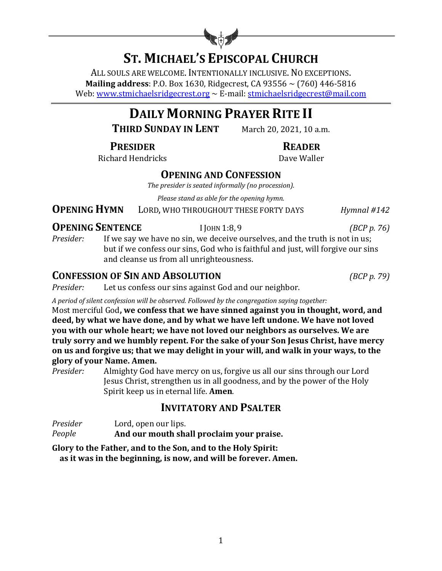# **ST. MICHAEL'S EPISCOPAL CHURCH**

ALL SOULS ARE WELCOME. INTENTIONALLY INCLUSIVE. NO EXCEPTIONS. **Mailing address**: P.O. Box 1630, Ridgecrest, CA 93556  $\sim$  (760) 446-5816 Web: www.stmichaelsridgecrest.org  $\sim$  E-mail: stmichaelsridgecrest@mail.com

# **DAILY MORNING PRAYER RITE II**

**THIRD SUNDAY IN LENT** March 20, 2021, 10 a.m.

**PRESIDER READER**

Richard Hendricks **Dave Waller** 

#### **OPENING AND CONFESSION**

The presider is seated informally (no procession).

*Please stand as able for the opening hymn.* 

**OPENING HYMN** LORD, WHO THROUGHOUT THESE FORTY DAYS *Hymnal* #142

**OPENING SENTENCE** I JOHN 1:8, 9 *(BCP p. 76)* 

*Presider:* If we say we have no sin, we deceive ourselves, and the truth is not in us; but if we confess our sins, God who is faithful and just, will forgive our sins and cleanse us from all unrighteousness.

#### **CONFESSION OF SIN AND ABSOLUTION** *(BCP p. 79)*

*Presider:* Let us confess our sins against God and our neighbor.

*A* period of silent confession will be observed. Followed by the congregation saying together:

Most merciful God, we confess that we have sinned against you in thought, word, and deed, by what we have done, and by what we have left undone. We have not loved **you** with our whole heart; we have not loved our neighbors as ourselves. We are truly sorry and we humbly repent. For the sake of your Son Jesus Christ, have mercy on us and forgive us; that we may delight in your will, and walk in your ways, to the **glory of your Name. Amen.**

*Presider:* Almighty God have mercy on us, forgive us all our sins through our Lord Jesus Christ, strengthen us in all goodness, and by the power of the Holy Spirit keep us in eternal life. **Amen.** 

## **INVITATORY AND PSALTER**

*Presider* Lord, open our lips. *People* **And our mouth shall proclaim your praise.** 

Glory to the Father, and to the Son, and to the Holy Spirit: as it was in the beginning, is now, and will be forever. Amen.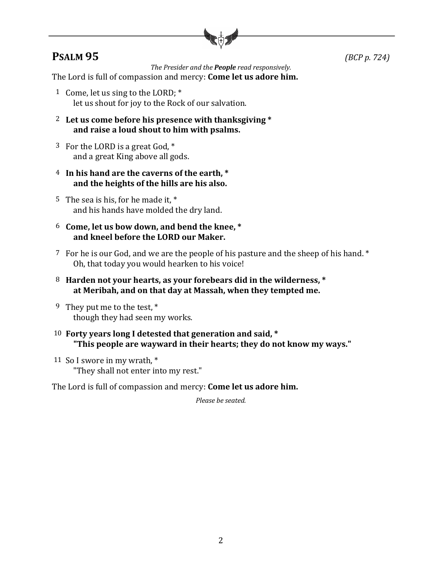

## **PSALM 95** *(BCP p. 724)*

The Presider and the **People** read responsively.

- The Lord is full of compassion and mercy: **Come let us adore him.**
- 1 Come, let us sing to the LORD; \* let us shout for joy to the Rock of our salvation.
- <sup>2</sup> Let us come before his presence with thanksgiving \* and raise a loud shout to him with psalms.
- 3 For the LORD is a great God,  $*$ and a great King above all gods.
- <sup>4</sup> In his hand are the caverns of the earth, \* and the heights of the hills are his also.
- 5 The sea is his, for he made it,  $*$ and his hands have molded the dry land.
- <sup>6</sup> Come, let us bow down, and bend the knee, \*  **and kneel before the LORD our Maker.**
- 7 For he is our God, and we are the people of his pasture and the sheep of his hand. \* Oh, that today you would hearken to his voice!
- 8 Harden not your hearts, as your forebears did in the wilderness, \* at Meribah, and on that day at Massah, when they tempted me.
- 9 They put me to the test,  $*$ though they had seen my works.
- 10 **Forty years long I detested that generation and said,** \* "This people are wayward in their hearts; they do not know my ways."
- 11 So I swore in my wrath,  $*$ "They shall not enter into my rest."

The Lord is full of compassion and mercy: **Come let us adore him.** 

*Please be seated.*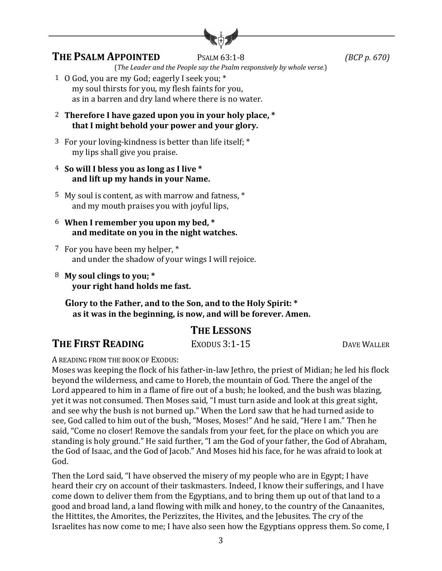

### **THE PSALM APPOINTED** PSALM 63:1-8 *(BCP p. 670)*

(*The Leader and the People say the Psalm responsively by whole verse.*)

- 1 O God, you are my God; eagerly I seek you; \* my soul thirsts for you, my flesh faints for you, as in a barren and dry land where there is no water.
- <sup>2</sup> Therefore I have gazed upon you in your holy place, \* that I might behold your power and your glory.
- 3 For your loving-kindness is better than life itself;  $*$ my lips shall give you praise.
- 4 So will I bless you as long as I live \* and lift up my hands in your Name.
- 5 My soul is content, as with marrow and fatness,  $*$ and my mouth praises you with joyful lips,
- <sup>6</sup> When I remember you upon my bed, \* and meditate on you in the night watches.
- 7 For you have been my helper, \* and under the shadow of your wings I will rejoice.
- 8 My soul clings to you; \* **your right hand holds me fast.** 
	- **Glory to the Father, and to the Son, and to the Holy Spirit:**  $*$ as it was in the beginning, is now, and will be forever. Amen.

#### **THE LESSONS**

#### **THE FIRST READING** EXODUS 3:1-15 DAVE WALLER

A READING FROM THE BOOK OF EXODUS:

Moses was keeping the flock of his father-in-law Jethro, the priest of Midian; he led his flock beyond the wilderness, and came to Horeb, the mountain of God. There the angel of the Lord appeared to him in a flame of fire out of a bush; he looked, and the bush was blazing, yet it was not consumed. Then Moses said, "I must turn aside and look at this great sight, and see why the bush is not burned up." When the Lord saw that he had turned aside to see, God called to him out of the bush, "Moses, Moses!" And he said, "Here I am." Then he said, "Come no closer! Remove the sandals from your feet, for the place on which you are standing is holy ground." He said further, "I am the God of your father, the God of Abraham, the God of Isaac, and the God of Jacob." And Moses hid his face, for he was afraid to look at God.

Then the Lord said, "I have observed the misery of my people who are in Egypt; I have heard their cry on account of their taskmasters. Indeed, I know their sufferings, and I have come down to deliver them from the Egyptians, and to bring them up out of that land to a good and broad land, a land flowing with milk and honey, to the country of the Canaanites, the Hittites, the Amorites, the Perizzites, the Hivites, and the Jebusites. The cry of the Israelites has now come to me; I have also seen how the Egyptians oppress them. So come, I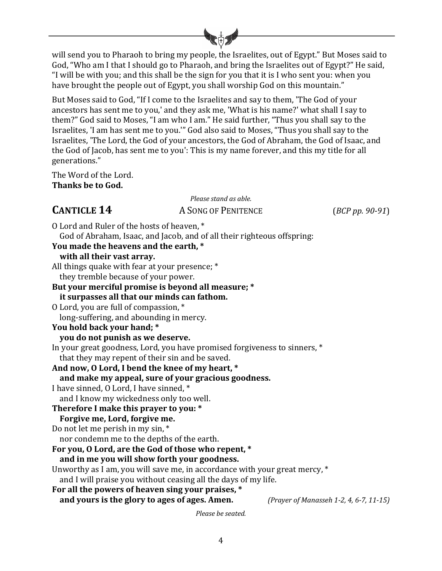will send you to Pharaoh to bring my people, the Israelites, out of Egypt." But Moses said to God, "Who am I that I should go to Pharaoh, and bring the Israelites out of Egypt?" He said, "I will be with you; and this shall be the sign for you that it is I who sent you: when you have brought the people out of Egypt, you shall worship God on this mountain."

But Moses said to God, "If I come to the Israelites and say to them, 'The God of your ancestors has sent me to you,' and they ask me, 'What is his name?' what shall I say to them?" God said to Moses, "I am who I am." He said further, "Thus you shall say to the Israelites, 'I am has sent me to you.'" God also said to Moses, "Thus you shall say to the Israelites, 'The Lord, the God of your ancestors, the God of Abraham, the God of Isaac, and the God of Jacob, has sent me to you': This is my name forever, and this my title for all generations."

The Word of the Lord. **Thanks be to God.** 

### **CANTICLE 14** A SONG OF PENITENCE (*BCP pp.* 90-91)

*Please stand as able.*

O Lord and Ruler of the hosts of heaven, \* God of Abraham, Isaac, and Jacob, and of all their righteous offspring: You made the heavens and the earth,  $*$ **with all their vast array.** All things quake with fear at your presence;  $*$ they tremble because of your power. But your merciful promise is beyond all measure; \* **it surpasses all that our minds can fathom.** O Lord, you are full of compassion, \* long-suffering, and abounding in mercy. You hold back your hand; \* **you do not punish as we deserve.** In your great goodness, Lord, you have promised forgiveness to sinners, \* that they may repent of their sin and be saved. And now, O Lord, I bend the knee of my heart, \* and make my appeal, sure of your gracious goodness. I have sinned, O Lord, I have sinned, \* and I know my wickedness only too well. Therefore I make this prayer to you: \* Forgive me, Lord, forgive me. Do not let me perish in my sin, \* nor condemn me to the depths of the earth. For you, O Lord, are the God of those who repent, \* and in me you will show forth your goodness. Unworthy as I am, you will save me, in accordance with your great mercy,  $*$ and I will praise you without ceasing all the days of my life. For all the powers of heaven sing your praises, \* **and yours is the glory to ages of ages. Amen.** *(Prayer of Manasseh 1-2, 4, 6-7, 11-15)* 

*Please be seated.*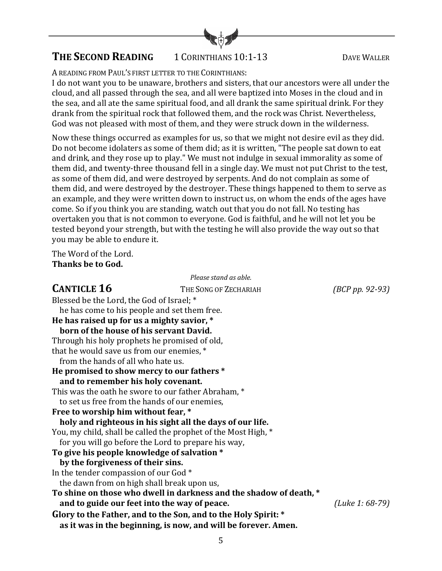

## **THE SECOND READING** 1 CORINTHIANS 10:1-13 DAVE WALLER

A READING FROM PAUL'S FIRST LETTER TO THE CORINTHIANS:

I do not want you to be unaware, brothers and sisters, that our ancestors were all under the cloud, and all passed through the sea, and all were baptized into Moses in the cloud and in the sea, and all ate the same spiritual food, and all drank the same spiritual drink. For they drank from the spiritual rock that followed them, and the rock was Christ. Nevertheless, God was not pleased with most of them, and they were struck down in the wilderness.

Now these things occurred as examples for us, so that we might not desire evil as they did. Do not become idolaters as some of them did; as it is written, "The people sat down to eat and drink, and they rose up to play." We must not indulge in sexual immorality as some of them did, and twenty-three thousand fell in a single day. We must not put Christ to the test, as some of them did, and were destroyed by serpents. And do not complain as some of them did, and were destroyed by the destroyer. These things happened to them to serve as an example, and they were written down to instruct us, on whom the ends of the ages have come. So if you think you are standing, watch out that you do not fall. No testing has overtaken you that is not common to everyone. God is faithful, and he will not let you be tested beyond your strength, but with the testing he will also provide the way out so that you may be able to endure it.

The Word of the Lord. **Thanks be to God.** 

*Please stand as able.*

**CANTICLE 16** THE SONG OF ZECHARIAH *(BCP pp. 92-93)* Blessed be the Lord, the God of Israel: \* he has come to his people and set them free. He has raised up for us a mighty savior, \* born of the house of his servant David. Through his holy prophets he promised of old, that he would save us from our enemies,  $*$ from the hands of all who hate us. He promised to show mercy to our fathers \* and to remember his holy covenant. This was the oath he swore to our father Abraham, \* to set us free from the hands of our enemies, Free to worship him without fear, \* holy and righteous in his sight all the days of our life. You, my child, shall be called the prophet of the Most High, \* for you will go before the Lord to prepare his way, To give his people knowledge of salvation \* by the forgiveness of their sins. In the tender compassion of our God  $*$ the dawn from on high shall break upon us, To shine on those who dwell in darkness and the shadow of death,  $*$ **and to guide our feet into the way of peace.** *(Luke 1: 68-79)* **Glory to the Father, and to the Son, and to the Holy Spirit:** \* as it was in the beginning, is now, and will be forever. Amen.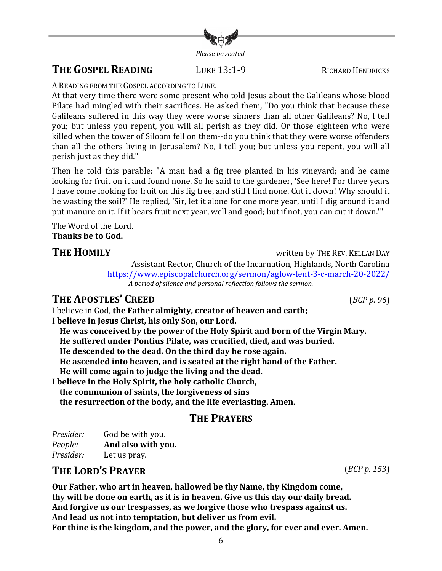

### **THE GOSPEL READING** LUKE 13:1-9 RICHARD HENDRICKS

A READING FROM THE GOSPEL ACCORDING TO LUKE.

At that very time there were some present who told Jesus about the Galileans whose blood Pilate had mingled with their sacrifices. He asked them, "Do you think that because these Galileans suffered in this way they were worse sinners than all other Galileans? No, I tell you; but unless you repent, you will all perish as they did. Or those eighteen who were killed when the tower of Siloam fell on them--do you think that they were worse offenders than all the others living in Jerusalem? No, I tell you; but unless you repent, you will all perish just as they did."

Then he told this parable: "A man had a fig tree planted in his vineyard; and he came looking for fruit on it and found none. So he said to the gardener, 'See here! For three years I have come looking for fruit on this fig tree, and still I find none. Cut it down! Why should it be wasting the soil?' He replied, 'Sir, let it alone for one more year, until I dig around it and put manure on it. If it bears fruit next year, well and good; but if not, you can cut it down."

The Word of the Lord. **Thanks be to God.** 

**THE HOMILY WE ARE ASSESSED WE ARE SET ASSESSED A WRITE AND MONEY OF THE REV. KELLAN DAY** Assistant Rector, Church of the Incarnation, Highlands, North Carolina https://www.episcopalchurch.org/sermon/aglow-lent-3-c-march-20-2022/ *A period of silence and personal reflection follows the sermon.*

#### **THE APOSTLES' CREED** (*BCP p.* 96)

I believe in God, the Father almighty, creator of heaven and earth; I believe in Jesus Christ, his only Son, our Lord.

He was conceived by the power of the Holy Spirit and born of the Virgin Mary.

He suffered under Pontius Pilate, was crucified, died, and was buried.

He descended to the dead. On the third day he rose again.

**He ascended into heaven, and is seated at the right hand of the Father.** 

He will come again to judge the living and the dead.

I believe in the Holy Spirit, the holy catholic Church,

the communion of saints, the forgiveness of sins

the resurrection of the body, and the life everlasting. Amen.

#### **THE PRAYERS**

*Presider:* God be with you. *People:* **And also with you.** *Presider:* Let us pray.

## **THE LORD'S PRAYER** (*BCP p.* 153)

Our Father, who art in heaven, hallowed be thy Name, thy Kingdom come, thy will be done on earth, as it is in heaven. Give us this day our daily bread. And forgive us our trespasses, as we forgive those who trespass against us. And lead us not into temptation, but deliver us from evil. For thine is the kingdom, and the power, and the glory, for ever and ever. Amen.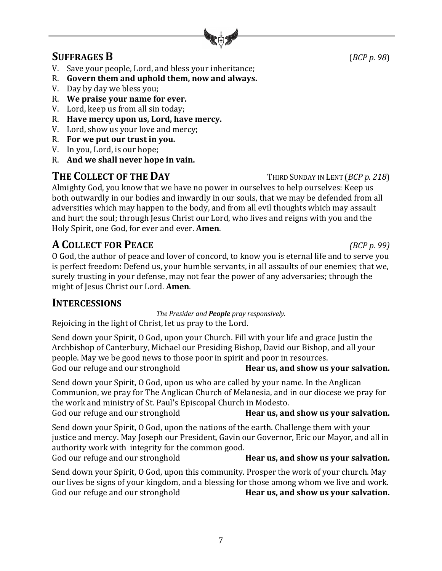

## **SUFFRAGES B** (*BCP p.* 98)

- V. Save your people, Lord, and bless your inheritance;
- R. Govern them and uphold them, now and always.
- V. Day by day we bless you;
- R. We praise your name for ever.
- V. Lord, keep us from all sin today;
- R. Have mercy upon us, Lord, have mercy.
- V. Lord, show us your love and mercy;
- R. For we put our trust in you.
- V. In you, Lord, is our hope;
- R. And we shall never hope in vain.

**THE COLLECT OF THE DAY** THIRD SUNDAY IN LENT (*BCP* p. 218)

Almighty God, you know that we have no power in ourselves to help ourselves: Keep us both outwardly in our bodies and inwardly in our souls, that we may be defended from all adversities which may happen to the body, and from all evil thoughts which may assault and hurt the soul; through Jesus Christ our Lord, who lives and reigns with you and the Holy Spirit, one God, for ever and ever. **Amen**.

## **A COLLECT** FOR **PEACE** *(BCP p.* 99)

O God, the author of peace and lover of concord, to know you is eternal life and to serve you is perfect freedom: Defend us, your humble servants, in all assaults of our enemies; that we, surely trusting in your defense, may not fear the power of any adversaries; through the might of Jesus Christ our Lord. Amen.

## **INTERCESSIONS**

*The Presider and People pray responsively.* 

Rejoicing in the light of Christ, let us pray to the Lord.

Send down your Spirit, O God, upon your Church. Fill with your life and grace Justin the Archbishop of Canterbury, Michael our Presiding Bishop, David our Bishop, and all your people. May we be good news to those poor in spirit and poor in resources. God our refuge and our stronghold **Hear us, and show us your salvation.** 

Send down your Spirit, O God, upon us who are called by your name. In the Anglican Communion, we pray for The Anglican Church of Melanesia, and in our diocese we pray for the work and ministry of St. Paul's Episcopal Church in Modesto. God our refuge and our stronghold **Hear us, and show us your salvation.** 

Send down your Spirit, O God, upon the nations of the earth. Challenge them with your justice and mercy. May Joseph our President, Gavin our Governor, Eric our Mayor, and all in authority work with integrity for the common good. God our refuge and our stronghold **Hear us, and show us your salvation.** 

Send down your Spirit, O God, upon this community. Prosper the work of your church. May our lives be signs of your kingdom, and a blessing for those among whom we live and work. God our refuge and our stronghold **Hear us, and show us your salvation.**